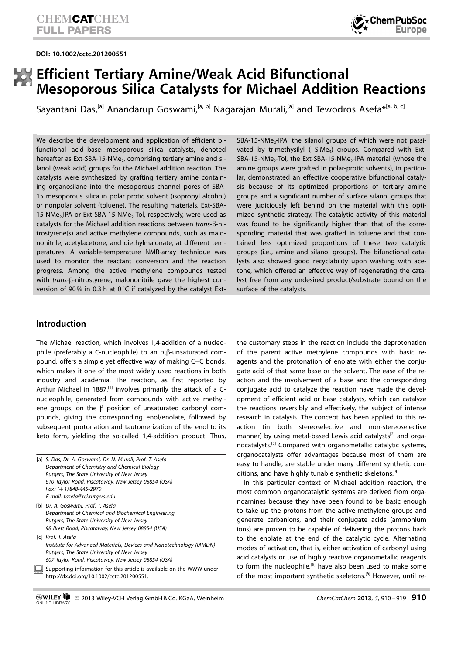DOI: 10.1002/cctc.201200551



# Efficient Tertiary Amine/Weak Acid Bifunctional Mesoporous Silica Catalysts for Michael Addition Reactions

Sayantani Das,<sup>[a]</sup> Anandarup Goswami,<sup>[a, b]</sup> Nagarajan Murali,<sup>[a]</sup> and Tewodros Asefa<sup>\*[a, b, c]</sup>

We describe the development and application of efficient bifunctional acid–base mesoporous silica catalysts, denoted hereafter as Ext-SBA-15-NMe<sub>2</sub>, comprising tertiary amine and silanol (weak acid) groups for the Michael addition reaction. The catalysts were synthesized by grafting tertiary amine containing organosilane into the mesoporous channel pores of SBA-15 mesoporous silica in polar protic solvent (isopropyl alcohol) or nonpolar solvent (toluene). The resulting materials, Ext-SBA-15-NMe<sub>2</sub>.IPA or Ext-SBA-15-NMe<sub>2</sub>-Tol, respectively, were used as catalysts for the Michael addition reactions between trans-ß-nitrostyrene(s) and active methylene compounds, such as malononitrile, acetylacetone, and diethylmalonate, at different temperatures. A variable-temperature NMR-array technique was used to monitor the reactant conversion and the reaction progress. Among the active methylene compounds tested with trans-ß-nitrostyrene, malononitrile gave the highest conversion of 90% in 0.3 h at 0 $\degree$ C if catalyzed by the catalyst Ext $SBA-15-NMe<sub>2</sub>-IPA$ , the silanol groups of which were not passivated by trimethysilyl (-SiMe<sub>3</sub>) groups. Compared with Ext- $SBA-15-NMe<sub>2</sub>-Tol$ , the Ext-SBA-15-NMe<sub>2</sub>-IPA material (whose the amine groups were grafted in polar-protic solvents), in particular, demonstrated an effective cooperative bifunctional catalysis because of its optimized proportions of tertiary amine groups and a significant number of surface silanol groups that were judiciously left behind on the material with this optimized synthetic strategy. The catalytic activity of this material was found to be significantly higher than that of the corresponding material that was grafted in toluene and that contained less optimized proportions of these two catalytic groups (i.e., amine and silanol groups). The bifunctional catalysts also showed good recyclability upon washing with acetone, which offered an effective way of regenerating the catalyst free from any undesired product/substrate bound on the surface of the catalysts.

### Introduction

The Michael reaction, which involves 1,4-addition of a nucleophile (preferably a C-nucleophile) to an  $\alpha$ , $\beta$ -unsaturated compound, offers a simple yet effective way of making C–C bonds, which makes it one of the most widely used reactions in both industry and academia. The reaction, as first reported by Arthur Michael in 1887,<sup>[1]</sup> involves primarily the attack of a Cnucleophile, generated from compounds with active methylene groups, on the  $\beta$  position of unsaturated carbonyl compounds, giving the corresponding enol/enolate, followed by subsequent protonation and tautomerization of the enol to its keto form, yielding the so-called 1,4-addition product. Thus,

|                                             | [a] S. Das, Dr. A. Goswami, Dr. N. Murali, Prof. T. Asefa |  |  |  |
|---------------------------------------------|-----------------------------------------------------------|--|--|--|
|                                             | Department of Chemistry and Chemical Biology              |  |  |  |
| Rutgers, The State University of New Jersey |                                                           |  |  |  |
|                                             | 610 Taylor Road, Piscataway, New Jersey 08854 (USA)       |  |  |  |
|                                             | Fax: $(+1)848-445-2970$                                   |  |  |  |
|                                             | E-mail: tasefa@rci.rutgers.edu                            |  |  |  |
|                                             |                                                           |  |  |  |

- [b] Dr. A. Goswami, Prof. T. Asefa Department of Chemical and Biochemical Engineering Rutgers, The State University of New Jersey 98 Brett Road, Piscataway, New Jersey 08854 (USA)
- [c] Prof. T. Asefa Institute for Advanced Materials, Devices and Nanotechnology (IAMDN) Rutgers, The State University of New Jersey 607 Taylor Road, Piscataway, New Jersey 08854 (USA)
- Supporting information for this article is available on the WWW under http://dx.doi.org/10.1002/cctc.201200551.

the customary steps in the reaction include the deprotonation of the parent active methylene compounds with basic reagents and the protonation of enolate with either the conjugate acid of that same base or the solvent. The ease of the reaction and the involvement of a base and the corresponding conjugate acid to catalyze the reaction have made the development of efficient acid or base catalysts, which can catalyze the reactions reversibly and effectively, the subject of intense research in catalysis. The concept has been applied to this reaction (in both stereoselective and non-stereoselective manner) by using metal-based Lewis acid catalysts<sup>[2]</sup> and organocatalysts.[3] Compared with organometallic catalytic systems, organocatalysts offer advantages because most of them are easy to handle, are stable under many different synthetic conditions, and have highly tunable synthetic skeletons.<sup>[4]</sup>

In this particular context of Michael addition reaction, the most common organocatalytic systems are derived from organoamines because they have been found to be basic enough to take up the protons from the active methylene groups and generate carbanions, and their conjugate acids (ammonium ions) are proven to be capable of delivering the protons back to the enolate at the end of the catalytic cycle. Alternating modes of activation, that is, either activation of carbonyl using acid catalysts or use of highly reactive organometallic reagents to form the nucleophile, $[5]$  have also been used to make some of the most important synthetic skeletons.<sup>[6]</sup> However, until re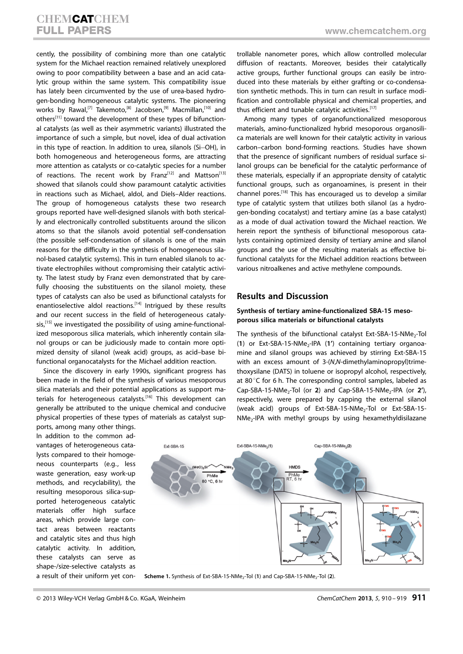cently, the possibility of combining more than one catalytic system for the Michael reaction remained relatively unexplored owing to poor compatibility between a base and an acid catalytic group within the same system. This compatibility issue has lately been circumvented by the use of urea-based hydrogen-bonding homogeneous catalytic systems. The pioneering works by Rawal,<sup>[7]</sup> Takemoto,<sup>[8]</sup> Jacobsen,<sup>[9]</sup> Macmillan,<sup>[10]</sup> and others<sup>[11]</sup> toward the development of these types of bifunctional catalysts (as well as their asymmetric variants) illustrated the importance of such a simple, but novel, idea of dual activation in this type of reaction. In addition to urea, silanols (Si-OH), in both homogeneous and heterogeneous forms, are attracting more attention as catalysts or co-catalytic species for a number of reactions. The recent work by Franz<sup>[12]</sup> and Mattson<sup>[13]</sup> showed that silanols could show paramount catalytic activities in reactions such as Michael, aldol, and Diels–Alder reactions. The group of homogeneous catalysts these two research groups reported have well-designed silanols with both sterically and electronically controlled substituents around the silicon atoms so that the silanols avoid potential self-condensation (the possible self-condensation of silanols is one of the main reasons for the difficulty in the synthesis of homogeneous silanol-based catalytic systems). This in turn enabled silanols to activate electrophiles without compromising their catalytic activity. The latest study by Franz even demonstrated that by carefully choosing the substituents on the silanol moiety, these types of catalysts can also be used as bifunctional catalysts for enantioselective aldol reactions.<sup>[14]</sup> Intrigued by these results and our recent success in the field of heterogeneous cataly- $\sin$ ,<sup>[15]</sup> we investigated the possibility of using amine-functionalized mesoporous silica materials, which inherently contain silanol groups or can be judiciously made to contain more optimized density of silanol (weak acid) groups, as acid–base bifunctional organocatalysts for the Michael addition reaction.

Since the discovery in early 1990s, significant progress has been made in the field of the synthesis of various mesoporous silica materials and their potential applications as support materials for heterogeneous catalysts.<sup>[16]</sup> This development can generally be attributed to the unique chemical and conducive physical properties of these types of materials as catalyst sup-

ports, among many other things. In addition to the common advantages of heterogeneous catalysts compared to their homogeneous counterparts (e.g., less waste generation, easy work-up methods, and recyclability), the resulting mesoporous silica-supported heterogeneous catalytic materials offer high surface areas, which provide large contact areas between reactants and catalytic sites and thus high catalytic activity. In addition, these catalysts can serve as shape-/size-selective catalysts as a result of their uniform yet controllable nanometer pores, which allow controlled molecular diffusion of reactants. Moreover, besides their catalytically active groups, further functional groups can easily be introduced into these materials by either grafting or co-condensation synthetic methods. This in turn can result in surface modification and controllable physical and chemical properties, and thus efficient and tunable catalytic activities.[17]

Among many types of organofunctionalized mesoporous materials, amino-functionalized hybrid mesoporous organosilica materials are well known for their catalytic activity in various carbon–carbon bond-forming reactions. Studies have shown that the presence of significant numbers of residual surface silanol groups can be beneficial for the catalytic performance of these materials, especially if an appropriate density of catalytic functional groups, such as organoamines, is present in their channel pores.[18] This has encouraged us to develop a similar type of catalytic system that utilizes both silanol (as a hydrogen-bonding cocatalyst) and tertiary amine (as a base catalyst) as a mode of dual activation toward the Michael reaction. We herein report the synthesis of bifunctional mesoporous catalysts containing optimized density of tertiary amine and silanol groups and the use of the resulting materials as effective bifunctional catalysts for the Michael addition reactions between various nitroalkenes and active methylene compounds.

#### Results and Discussion

#### Synthesis of tertiary amine-functionalized SBA-15 mesoporous silica materials or bifunctional catalysts

The synthesis of the bifunctional catalyst Ext-SBA-15-NMe<sub>2</sub>-Tol (1) or Ext-SBA-15-NMe<sub>2</sub>-IPA (1') containing tertiary organoamine and silanol groups was achieved by stirring Ext-SBA-15 with an excess amount of 3-(N,N-dimethylaminopropyl)trimethoxysilane (DATS) in toluene or isopropyl alcohol, respectively, at 80 $\degree$ C for 6 h. The corresponding control samples, labeled as Cap-SBA-15-NMe<sub>2</sub>-Tol (or 2) and Cap-SBA-15-NMe<sub>2</sub>-IPA (or 2'), respectively, were prepared by capping the external silanol (weak acid) groups of Ext-SBA-15-NMe<sub>2</sub>-Tol or Ext-SBA-15- $NMe<sub>2</sub>$ -IPA with methyl groups by using hexamethyldisilazane



Scheme 1. Synthesis of Ext-SBA-15-NMe<sub>2</sub>-Tol (1) and Cap-SBA-15-NMe<sub>2</sub>-Tol (2).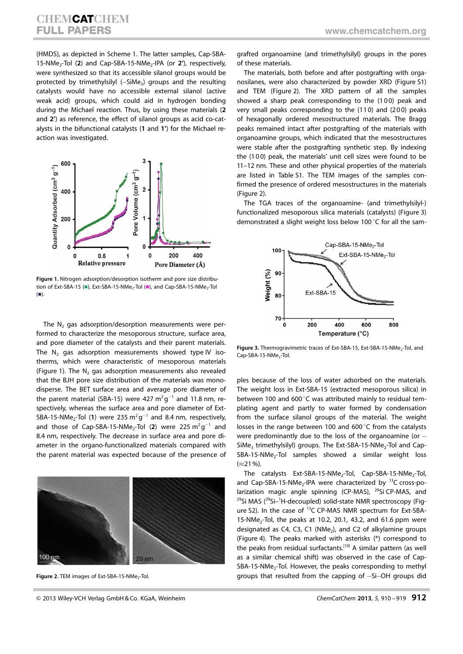(HMDS), as depicted in Scheme 1. The latter samples, Cap-SBA-15-NMe<sub>2</sub>-Tol (2) and Cap-SBA-15-NMe<sub>2</sub>-IPA (or 2'), respectively, were synthesized so that its accessible silanol groups would be protected by trimethylsilyl (-SiMe<sub>3</sub>) groups and the resulting catalysts would have no accessible external silanol (active weak acid) groups, which could aid in hydrogen bonding during the Michael reaction. Thus, by using these materials (2 and 2') as reference, the effect of silanol groups as acid co-catalysts in the bifunctional catalysts (1 and 1') for the Michael reaction was investigated.



Figure 1. Nitrogen adsorption/desorption isotherm and pore size distribution of Ext-SBA-15 ( $\blacksquare$ ), Ext-SBA-15-NMe<sub>2</sub>-Tol ( $\blacksquare$ ), and Cap-SBA-15-NMe<sub>2</sub>-Tol  $\left( \blacksquare \right)$ .

The  $N_2$  gas adsorption/desorption measurements were performed to characterize the mesoporous structure, surface area, and pore diameter of the catalysts and their parent materials. The  $N_2$  gas adsorption measurements showed type IV isotherms, which were characteristic of mesoporous materials (Figure 1). The  $N_2$  gas adsorption measurements also revealed that the BJH pore size distribution of the materials was monodisperse. The BET surface area and average pore diameter of the parent material (SBA-15) were 427  $m^2g^{-1}$  and 11.8 nm, respectively, whereas the surface area and pore diameter of Ext-SBA-15-NMe<sub>2</sub>-Tol (1) were 235  $m^2g^{-1}$  and 8.4 nm, respectively, and those of Cap-SBA-15-NMe<sub>2</sub>-Tol (2) were 225  $m^2g^{-1}$  and 8.4 nm, respectively. The decrease in surface area and pore diameter in the organo-functionalized materials compared with the parent material was expected because of the presence of



Figure 2. TEM images of Ext-SBA-15-NMe<sub>2</sub>-Tol.

grafted organoamine (and trimethylsilyl) groups in the pores of these materials.

The materials, both before and after postgrafting with organosilanes, were also characterized by powder XRD (Figure S1) and TEM (Figure 2). The XRD pattern of all the samples showed a sharp peak corresponding to the (100) peak and very small peaks corresponding to the (110) and (200) peaks of hexagonally ordered mesostructured materials. The Bragg peaks remained intact after postgrafting of the materials with organoamine groups, which indicated that the mesostructures were stable after the postgrafting synthetic step. By indexing the (100) peak, the materials' unit cell sizes were found to be 11–12 nm. These and other physical properties of the materials are listed in Table S1. The TEM images of the samples confirmed the presence of ordered mesostructures in the materials (Figure 2).

The TGA traces of the organoamine- (and trimethylsilyl-) functionalized mesoporous silica materials (catalysts) (Figure 3) demonstrated a slight weight loss below 100 $\degree$ C for all the sam-



Figure 3. Thermogravimetric traces of Ext-SBA-15, Ext-SBA-15-NMe<sub>2</sub>-Tol, and Cap-SBA-15-NMe<sub>2</sub>-Tol.

ples because of the loss of water adsorbed on the materials. The weight loss in Ext-SBA-15 (extracted mesoporous silica) in between 100 and 600 $^{\circ}$ C was attributed mainly to residual templating agent and partly to water formed by condensation from the surface silanol groups of the material. The weight losses in the range between 100 and 600 $\degree$ C from the catalysts were predominantly due to the loss of the organoamine (or  $-$ SiMe<sub>3</sub> trimethylsilyl) groups. The Ext-SBA-15-NMe<sub>2</sub>-Tol and Cap- $SBA-15-NMe<sub>2</sub>-Tol$  samples showed a similar weight loss  $(\approx 21\%)$ .

The catalysts Ext-SBA-15-NMe<sub>2</sub>-Tol, Cap-SBA-15-NMe<sub>2</sub>-Tol, and Cap-SBA-15-NMe<sub>2</sub>-IPA were characterized by  $^{13}$ C cross-polarization magic angle spinning (CP-MAS), <sup>29</sup>Si CP-MAS, and <sup>29</sup>Si MAS (<sup>29</sup>Si-<sup>1</sup>H-decoupled) solid-state NMR spectroscopy (Figure S2). In the case of 13C CP-MAS NMR spectrum for Ext-SBA- $15\text{-}N$ Me<sub>2</sub>-Tol, the peaks at 10.2, 20.1, 43.2, and 61.6 ppm were designated as C4, C3, C1 (NMe<sub>2</sub>), and C2 of alkylamine groups (Figure 4). The peaks marked with asterisks (\*) correspond to the peaks from residual surfactants.<sup>[19]</sup> A similar pattern (as well as a similar chemical shift) was observed in the case of Cap-SBA-15-NMe<sub>2</sub>-Tol. However, the peaks corresponding to methyl groups that resulted from the capping of -Si-OH groups did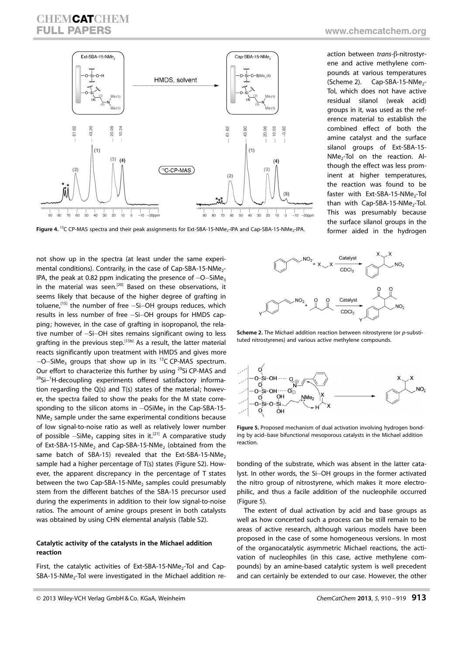# **CHEMCATCHEM** FULL PAPERS WWW.chemcatchem.org



action between trans-ß-nitrostyr-

ene and active methylene compounds at various temperatures  $(Scheme 2)$ . Cap-SBA-15-NMe<sub>2</sub>-Tol, which does not have active residual silanol (weak acid) groups in it, was used as the reference material to establish the combined effect of both the amine catalyst and the surface silanol groups of Ext-SBA-15- NMe<sub>2</sub>-Tol on the reaction. Although the effect was less prominent at higher temperatures, the reaction was found to be faster with Ext-SBA-15-NMe<sub>2</sub>-Tol than with  $Cap-SBA-15-NMe<sub>2</sub>-Tol.$ This was presumably because the surface silanol groups in the former aided in the hydrogen

Figure 4. <sup>13</sup>C CP-MAS spectra and their peak assignments for Ext-SBA-15-NMe<sub>2</sub>-IPA and Cap-SBA-15-NMe<sub>2</sub>-IPA.

not show up in the spectra (at least under the same experimental conditions). Contrarily, in the case of Cap-SBA-15-NMe<sub>2</sub>-IPA, the peak at 0.82 ppm indicating the presence of  $-$ O $-$ SiMe<sub>3</sub> in the material was seen.<sup>[20]</sup> Based on these observations, it seems likely that because of the higher degree of grafting in toluene,<sup>[15]</sup> the number of free –Si–OH groups reduces, which results in less number of free -Si-OH groups for HMDS capping; however, in the case of grafting in isopropanol, the relative number of -Si-OH sites remains significant owing to less grafting in the previous step.<sup>[15b]</sup> As a result, the latter material reacts significantly upon treatment with HMDS and gives more  $-$ O $-$ SiMe<sub>3</sub> groups that show up in its  $^{13}$ C CP-MAS spectrum. Our effort to characterize this further by using <sup>29</sup>Si CP-MAS and <sup>29</sup>Si-<sup>1</sup>H-decoupling experiments offered satisfactory information regarding the Q(s) and T(s) states of the material; however, the spectra failed to show the peaks for the M state corresponding to the silicon atoms in  $-OSiMe<sub>3</sub>$  in the Cap-SBA-15- $NMe<sub>2</sub>$  sample under the same experimental conditions because of low signal-to-noise ratio as well as relatively lower number of possible  $-SiMe<sub>3</sub>$  capping sites in it.<sup>[21]</sup> A comparative study of Ext-SBA-15-NMe<sub>2</sub> and Cap-SBA-15-NMe<sub>2</sub> (obtained from the same batch of SBA-15) revealed that the Ext-SBA-15-NMe<sub>2</sub> sample had a higher percentage of T(s) states (Figure S2). However, the apparent discrepancy in the percentage of T states between the two Cap-SBA-15-NMe<sub>2</sub> samples could presumably stem from the different batches of the SBA-15 precursor used during the experiments in addition to their low signal-to-noise ratios. The amount of amine groups present in both catalysts was obtained by using CHN elemental analysis (Table S2).

#### Catalytic activity of the catalysts in the Michael addition reaction

First, the catalytic activities of Ext-SBA-15-NMe<sub>2</sub>-Tol and Cap- $SBA-15-NMe<sub>2</sub>-Tol$  were investigated in the Michael addition re-



Scheme 2. The Michael addition reaction between nitrostyrene (or p-substituted nitrostyrenes) and various active methylene compounds.



Figure 5. Proposed mechanism of dual activation involving hydrogen bonding by acid–base bifunctional mesoporous catalysts in the Michael addition reaction.

bonding of the substrate, which was absent in the latter catalyst. In other words, the Si-OH groups in the former activated the nitro group of nitrostyrene, which makes it more electrophilic, and thus a facile addition of the nucleophile occurred (Figure 5).

The extent of dual activation by acid and base groups as well as how concerted such a process can be still remain to be areas of active research, although various models have been proposed in the case of some homogeneous versions. In most of the organocatalytic asymmetric Michael reactions, the activation of nucleophiles (in this case, active methylene compounds) by an amine-based catalytic system is well precedent and can certainly be extended to our case. However, the other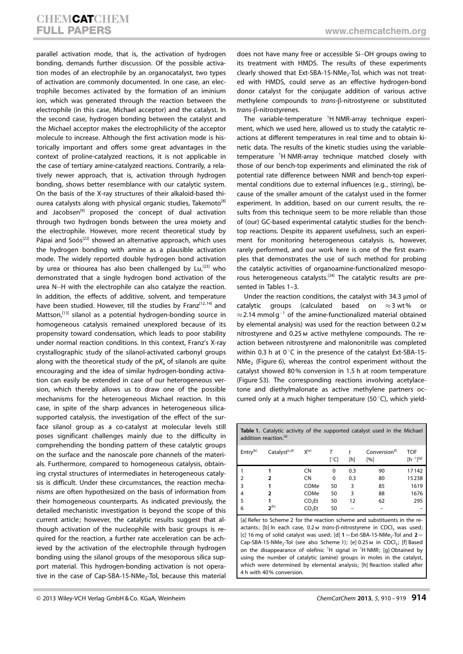# **CHEMCATCHEM**<br>FULL PAPERS

parallel activation mode, that is, the activation of hydrogen bonding, demands further discussion. Of the possible activation modes of an electrophile by an organocatalyst, two types of activation are commonly documented. In one case, an electrophile becomes activated by the formation of an iminium ion, which was generated through the reaction between the electrophile (in this case, Michael acceptor) and the catalyst. In the second case, hydrogen bonding between the catalyst and the Michael acceptor makes the electrophilicity of the acceptor molecule to increase. Although the first activation mode is historically important and offers some great advantages in the context of proline-catalyzed reactions, it is not applicable in the case of tertiary amine-catalyzed reactions. Contrarily, a relatively newer approach, that is, activation through hydrogen bonding, shows better resemblance with our catalytic system. On the basis of the X-ray structures of their alkaloid-based thiourea catalysts along with physical organic studies, Takemoto<sup>[8]</sup> and Jacobsen<sup>[9]</sup> proposed the concept of dual activation through two hydrogen bonds between the urea moiety and the electrophile. However, more recent theoretical study by Pápai and Soós<sup>[22]</sup> showed an alternative approach, which uses the hydrogen bonding with amine as a plausible activation mode. The widely reported double hydrogen bond activation by urea or thiourea has also been challenged by  $Lu<sub>1</sub><sup>[23]</sup>$  who demonstrated that a single hydrogen bond activation of the urea N-H with the electrophile can also catalyze the reaction. In addition, the effects of additive, solvent, and temperature have been studied. However, till the studies by Franz $[12, 14]$  and Mattson,<sup>[13]</sup> silanol as a potential hydrogen-bonding source in homogeneous catalysis remained unexplored because of its propensity toward condensation, which leads to poor stability under normal reaction conditions. In this context, Franz's X-ray crystallographic study of the silanol-activated carbonyl groups along with the theoretical study of the  $pK_a$  of silanols are quite encouraging and the idea of similar hydrogen-bonding activation can easily be extended in case of our heterogeneous version, which thereby allows us to draw one of the possible mechanisms for the heterogeneous Michael reaction. In this case, in spite of the sharp advances in heterogeneous silicasupported catalysis, the investigation of the effect of the surface silanol group as a co-catalyst at molecular levels still poses significant challenges mainly due to the difficulty in comprehending the bonding pattern of these catalytic groups on the surface and the nanoscale pore channels of the materials. Furthermore, compared to homogeneous catalysis, obtaining crystal structures of intermediates in heterogeneous catalysis is difficult. Under these circumstances, the reaction mechanisms are often hypothesized on the basis of information from their homogeneous counterparts. As indicated previously, the detailed mechanistic investigation is beyond the scope of this current article; however, the catalytic results suggest that although activation of the nucleophile with basic groups is required for the reaction, a further rate acceleration can be achieved by the activation of the electrophile through hydrogen bonding using the silanol groups of the mesoporous silica support material. This hydrogen-bonding activation is not operative in the case of Cap-SBA-15-NMe<sub>2</sub>-Tol, because this material

does not have many free or accessible Si-OH groups owing to its treatment with HMDS. The results of these experiments clearly showed that Ext-SBA-15-NMe<sub>2</sub>-Tol, which was not treated with HMDS, could serve as an effective hydrogen-bond donor catalyst for the conjugate addition of various active methylene compounds to trans-ß-nitrostyrene or substituted  $trans$ - $\beta$ -nitrostyrenes.

The variable-temperature <sup>1</sup>H NMR-array technique experiment, which we used here, allowed us to study the catalytic reactions at different temperatures in real time and to obtain kinetic data. The results of the kinetic studies using the variabletemperature <sup>1</sup>H NMR-array technique matched closely with those of our bench-top experiments and eliminated the risk of potential rate difference between NMR and bench-top experimental conditions due to external influences (e.g., stirring), because of the smaller amount of the catalyst used in the former experiment. In addition, based on our current results, the results from this technique seem to be more reliable than those of (our) GC-based experimental catalytic studies for the benchtop reactions. Despite its apparent usefulness, such an experiment for monitoring heterogeneous catalysis is, however, rarely performed, and our work here is one of the first examples that demonstrates the use of such method for probing the catalytic activities of organoamine-functionalized mesoporous heterogeneous catalysts.[24] The catalytic results are presented in Tables 1–3.

Under the reaction conditions, the catalyst with 34.3 µmol of catalytic groups (calculated based on  $\approx$ 3 wt% or  $\approx$  2.14 mmol g<sup>-1</sup> of the amine-functionalized material obtained by elemental analysis) was used for the reaction between 0.2m nitrostyrene and 0.25m active methylene compounds. The reaction between nitrostyrene and malononitrile was completed within 0.3 h at  $0^{\circ}$ C in the presence of the catalyst Ext-SBA-15- $NMe<sub>2</sub>$  (Figure 6), whereas the control experiment without the catalyst showed 80% conversion in 1.5 h at room temperature (Figure S3). The corresponding reactions involving acetylacetone and diethylmalonate as active methylene partners occurred only at a much higher temperature (50 $^{\circ}$ C), which yield-

| <b>Table 1.</b> Catalytic activity of the supported catalyst used in the Michael<br>addition reaction. <sup>[a]</sup> |               |                    |         |     |                                  |                                |
|-----------------------------------------------------------------------------------------------------------------------|---------------|--------------------|---------|-----|----------------------------------|--------------------------------|
| Entry <sup>[b]</sup>                                                                                                  | Catalyst[c,d] | $X^{[e]}$          | т<br>୮୯ | [h] | Conversion <sup>[f]</sup><br>[%] | <b>TOF</b><br>$[h^{-1}]^{[g]}$ |
|                                                                                                                       |               | <b>CN</b>          | 0       | 0.3 | 90                               | 17142                          |
| 2                                                                                                                     |               | <b>CN</b>          | 0       | 0.3 | 80                               | 15238                          |
| 3                                                                                                                     |               | COMe               | 50      | 3   | 85                               | 1619                           |
| 4                                                                                                                     | 2             | COMe               | 50      | 3   | 88                               | 1676                           |
| 5                                                                                                                     |               | CO <sub>2</sub> Et | 50      | 12  | 62                               | 295                            |
| 6                                                                                                                     | $2^{[h]}$     | CO <sub>2</sub> Et | 50      |     |                                  |                                |

[a] Refer to Scheme 2 for the reaction scheme and substituents in the reactants; [b] In each case,  $0.2 \text{ m}$  trans- $6$ -nitrostyrene in CDCI, was used; [c] 16 mg of solid catalyst was used; [d]  $1 =$  Ext-SBA-15-NMe<sub>2</sub>-Tol and  $2 =$ Cap-SBA-15-NMe<sub>2</sub>-Tol (see also Scheme 1); [e] 0.25  $M$  in CDCl<sub>3</sub>; [f] Based on the disappearance of olefinic  ${}^{1}H$  signal in  ${}^{1}H$  NMR; [g] Obtained by using the number of catalytic (amine) groups in moles in the catalyst, which were determined by elemental analysis; [h] Reaction stalled after 4 h with 40% conversion.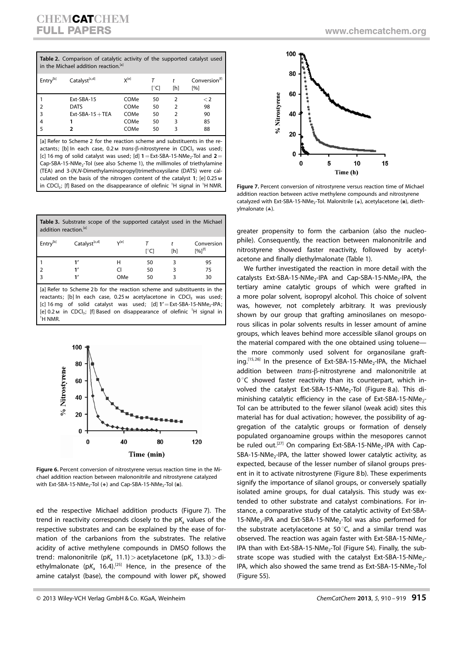| Table 2. Comparison of catalytic activity of the supported catalyst used<br>in the Michael addition reaction. <sup>[a]</sup> |                  |           |      |               |                                                 |
|------------------------------------------------------------------------------------------------------------------------------|------------------|-----------|------|---------------|-------------------------------------------------|
| Entry <sup>[b]</sup>                                                                                                         | Catalyst[c,d]    | $X^{[e]}$ | r°Cl | [h]           | Conversion <sup>[1]</sup><br>$\lceil 96 \rceil$ |
|                                                                                                                              | Ext-SBA-15       | COMe      | 50   |               | $\lt 2$                                         |
| $\overline{2}$                                                                                                               | <b>DATS</b>      | COMe      | 50   | $\mathcal{P}$ | 98                                              |
| $\overline{3}$                                                                                                               | $Ext-SBA-15+TEA$ | COMe      | 50   | $\mathcal{P}$ | 90                                              |
| 4                                                                                                                            |                  | COMe      | 50   | 3             | 85                                              |
| 5                                                                                                                            |                  | COMe      | 50   | 3             | 88                                              |

[a] Refer to Scheme 2 for the reaction scheme and substituents in the reactants; [b] In each case,  $0.2 \text{ m}$  trans- $\beta$ -nitrostyrene in CDCl<sub>3</sub> was used; [c] 16 mg of solid catalyst was used; [d]  $1 = Ext-SBA-15-NMe<sub>2</sub>-Tol$  and  $2 =$ Cap-SBA-15-NMe<sub>2</sub>-Tol (see also Scheme 1), the millimoles of triethylamine (TEA) and 3-(N,N-Dimethylaminopropyl)trimethoxysilane (DATS) were calculated on the basis of the nitrogen content of the catalyst 1; [e] 0.25m in CDCl<sub>3</sub>; [f] Based on the disappearance of olefinic <sup>1</sup>H signal in <sup>1</sup>H NMR.

Table 3. Substrate scope of the supported catalyst used in the Michael addition reaction.<sup>[a]</sup>

| Entry <sup>[b]</sup> | Catalyst <sup>[c,d]</sup>       | V[e]          | r°Cl   | [h] | Conversion<br>$[%]$ <sup>[f]</sup> |
|----------------------|---------------------------------|---------------|--------|-----|------------------------------------|
|                      |                                 |               | 50     |     | 95                                 |
|                      |                                 |               | 50     |     | 75                                 |
|                      |                                 | OMe           | 50     |     | 30                                 |
| $\sim$ $\sim$        | $-1$ $-1$ $-1$<br>$\sim$ $\sim$ | $\sim$ $\sim$ | $\sim$ |     | .                                  |

[a] Refer to Scheme 2b for the reaction scheme and substituents in the reactants: [b] In each case, 0.25 M acetylacetone in CDCL, was used: [c] 16 mg of solid catalyst was used; [d]  $1'$  = Ext-SBA-15-NMe<sub>2</sub>-IPA; [e]  $0.2 \text{ m}$  in CDCl<sub>3</sub>; [f] Based on disappearance of olefinic <sup>1</sup>H signal in <sup>1</sup>h nmr.



Figure 6. Percent conversion of nitrostyrene versus reaction time in the Michael addition reaction between malononitrile and nitrostyrene catalyzed with Ext-SBA-15-NMe<sub>2</sub>-Tol ( $\bullet$ ) and Cap-SBA-15-NMe<sub>2</sub>-Tol ( $\blacksquare$ ).

ed the respective Michael addition products (Figure 7). The trend in reactivity corresponds closely to the  $pK_a$  values of the respective substrates and can be explained by the ease of formation of the carbanions from the substrates. The relative acidity of active methylene compounds in DMSO follows the trend: malononitrile (pK<sub>a</sub> 11.1) > acetylacetone (pK<sub>a</sub> 13.3) > diethylmalonate ( $pK_a$  16.4).<sup>[25]</sup> Hence, in the presence of the amine catalyst (base), the compound with lower  $pK<sub>a</sub>$  showed





Figure 7. Percent conversion of nitrostyrene versus reaction time of Michael addition reaction between active methylene compounds and nitrostyrene catalyzed with Ext-SBA-15-NMe<sub>2</sub>-Tol. Malonitrile ( $\bullet$ ), acetylacetone ( $\bullet$ ), diethylmalonate  $($ ).

greater propensity to form the carbanion (also the nucleophile). Consequently, the reaction between malononitrile and nitrostyrene showed faster reactivity, followed by acetylacetone and finally diethylmalonate (Table 1).

We further investigated the reaction in more detail with the catalysts Ext-SBA-15-NMe<sub>2</sub>-IPA and Cap-SBA-15-NMe<sub>2</sub>-IPA, the tertiary amine catalytic groups of which were grafted in a more polar solvent, isopropyl alcohol. This choice of solvent was, however, not completely arbitrary. It was previously shown by our group that grafting aminosilanes on mesoporous silicas in polar solvents results in lesser amount of amine groups, which leaves behind more accessible silanol groups on the material compared with the one obtained using toluene the more commonly used solvent for organosilane grafting.<sup>[15, 26]</sup> In the presence of Ext-SBA-15-NMe<sub>2</sub>-IPA, the Michael addition between trans-ß-nitrostyrene and malononitrile at  $0^{\circ}$ C showed faster reactivity than its counterpart, which involved the catalyst Ext-SBA-15-NMe<sub>2</sub>-Tol (Figure 8 a). This diminishing catalytic efficiency in the case of Ext-SBA-15-NMe<sub>2</sub>-Tol can be attributed to the fewer silanol (weak acid) sites this material has for dual activation; however, the possibility of aggregation of the catalytic groups or formation of densely populated organoamine groups within the mesopores cannot be ruled out.<sup>[27]</sup> On comparing Ext-SBA-15-NMe<sub>2</sub>-IPA with Cap- $SBA-15-NMe<sub>2</sub>-IPA$ , the latter showed lower catalytic activity, as expected, because of the lesser number of silanol groups present in it to activate nitrostyrene (Figure 8 b). These experiments signify the importance of silanol groups, or conversely spatially isolated amine groups, for dual catalysis. This study was extended to other substrate and catalyst combinations. For instance, a comparative study of the catalytic activity of Ext-SBA-15-NMe<sub>2</sub>-IPA and Ext-SBA-15-NMe<sub>2</sub>-Tol was also performed for the substrate acetylacetone at 50 $\degree$ C, and a similar trend was observed. The reaction was again faster with Ext-SBA-15-NMe<sub>2</sub>-IPA than with Ext-SBA-15-NMe<sub>2</sub>-Tol (Figure S4). Finally, the substrate scope was studied with the catalyst Ext-SBA-15-NMe<sub>2</sub>-IPA, which also showed the same trend as Ext-SBA-15-NMe<sub>2</sub>-Tol (Figure S5).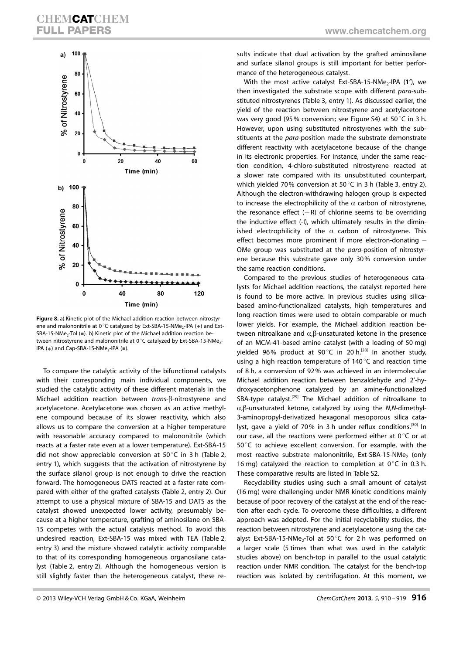

Figure 8. a) Kinetic plot of the Michael addition reaction between nitrostyrene and malononitrile at 0°C catalyzed by Ext-SBA-15-NMe<sub>2</sub>-IPA ( $\bullet$ ) and Ext-SBA-15-NMe<sub>2</sub>-Tol ( $\blacksquare$ ). b) Kinetic plot of the Michael addition reaction between nitrostyrene and malononitrile at 0°C catalyzed by Ext-SBA-15-NMe<sub>2</sub>-IPA ( $\bullet$ ) and Cap-SBA-15-NMe<sub>2</sub>-IPA ( $\blacksquare$ ).

To compare the catalytic activity of the bifunctional catalysts with their corresponding main individual components, we studied the catalytic activity of these different materials in the Michael addition reaction between trans-ß-nitrostyrene and acetylacetone. Acetylacetone was chosen as an active methylene compound because of its slower reactivity, which also allows us to compare the conversion at a higher temperature with reasonable accuracy compared to malononitrile (which reacts at a faster rate even at a lower temperature). Ext-SBA-15 did not show appreciable conversion at 50 $^{\circ}$ C in 3 h (Table 2, entry 1), which suggests that the activation of nitrostyrene by the surface silanol group is not enough to drive the reaction forward. The homogeneous DATS reacted at a faster rate compared with either of the grafted catalysts (Table 2, entry 2). Our attempt to use a physical mixture of SBA-15 and DATS as the catalyst showed unexpected lower activity, presumably because at a higher temperature, grafting of aminosilane on SBA-15 competes with the actual catalysis method. To avoid this undesired reaction, Ext-SBA-15 was mixed with TEA (Table 2, entry 3) and the mixture showed catalytic activity comparable to that of its corresponding homogeneous organosilane catalyst (Table 2, entry 2). Although the homogeneous version is still slightly faster than the heterogeneous catalyst, these results indicate that dual activation by the grafted aminosilane and surface silanol groups is still important for better performance of the heterogeneous catalyst.

With the most active catalyst Ext-SBA-15-NMe<sub>2</sub>-IPA  $(1')$ , we then investigated the substrate scope with different para-substituted nitrostyrenes (Table 3, entry 1). As discussed earlier, the yield of the reaction between nitrostyrene and acetylacetone was very good (95% conversion; see Figure S4) at 50 $\degree$ C in 3 h. However, upon using substituted nitrostyrenes with the substituents at the para-position made the substrate demonstrate different reactivity with acetylacetone because of the change in its electronic properties. For instance, under the same reaction condition, 4-chloro-substituted nitrostyrene reacted at a slower rate compared with its unsubstituted counterpart, which yielded 70% conversion at 50 $\degree$ C in 3 h (Table 3, entry 2). Although the electron-withdrawing halogen group is expected to increase the electrophilicity of the  $\alpha$  carbon of nitrostyrene, the resonance effect  $(+R)$  of chlorine seems to be overriding the inductive effect (-I), which ultimately results in the diminished electrophilicity of the  $\alpha$  carbon of nitrostyrene. This effect becomes more prominent if more electron-donating  $-$ OMe group was substituted at the para-position of nitrostyrene because this substrate gave only 30% conversion under the same reaction conditions.

Compared to the previous studies of heterogeneous catalysts for Michael addition reactions, the catalyst reported here is found to be more active. In previous studies using silicabased amino-functionalized catalysts, high temperatures and long reaction times were used to obtain comparable or much lower yields. For example, the Michael addition reaction between nitroalkane and  $\alpha$ , $\beta$ -unsaturated ketone in the presence of an MCM-41-based amine catalyst (with a loading of 50 mg) yielded 96% product at 90 $^{\circ}$ C in 20 h.<sup>[28]</sup> In another study, using a high reaction temperature of  $140^{\circ}$ C and reaction time of 8 h, a conversion of 92% was achieved in an intermolecular Michael addition reaction between benzaldehyde and 2'-hydroxyacetonphenone catalyzed by an amine-functionalized SBA-type catalyst.<sup>[29]</sup> The Michael addition of nitroalkane to  $\alpha$ , $\beta$ -unsaturated ketone, catalyzed by using the N,N-dimethyl-3-aminopropyl-derivatized hexagonal mesoporous silica catalyst, gave a yield of 70% in 3 h under reflux conditions.<sup>[30]</sup> In our case, all the reactions were performed either at  $0^{\circ}$ C or at  $50^{\circ}$ C to achieve excellent conversion. For example, with the most reactive substrate malononitrile, Ext-SBA-15-NMe<sub>2</sub> (only 16 mg) catalyzed the reaction to completion at  $0^{\circ}$ C in 0.3 h. These comparative results are listed in Table S2.

Recyclability studies using such a small amount of catalyst (16 mg) were challenging under NMR kinetic conditions mainly because of poor recovery of the catalyst at the end of the reaction after each cycle. To overcome these difficulties, a different approach was adopted. For the initial recyclability studies, the reaction between nitrostyrene and acetylacetone using the catalyst Ext-SBA-15-NMe<sub>2</sub>-Tol at 50 $^{\circ}$ C for 2 h was performed on a larger scale (5 times than what was used in the catalytic studies above) on bench-top in parallel to the usual catalytic reaction under NMR condition. The catalyst for the bench-top reaction was isolated by centrifugation. At this moment, we

<sup>-</sup> 2013 Wiley-VCH Verlag GmbH & Co. KGaA, Weinheim ChemCatChem 2013, 5, 910 – 919 916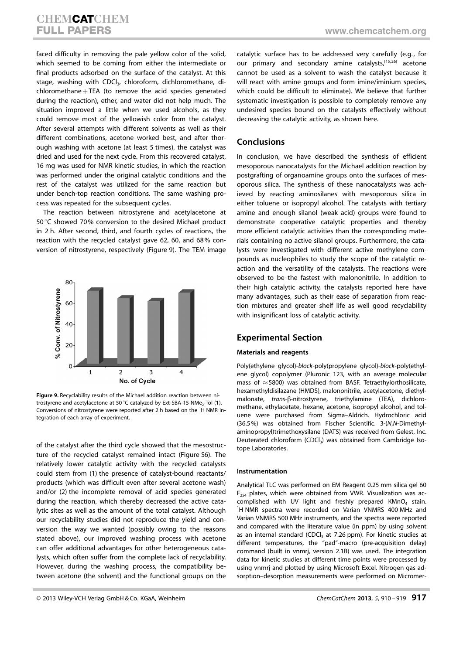faced difficulty in removing the pale yellow color of the solid, which seemed to be coming from either the intermediate or final products adsorbed on the surface of the catalyst. At this stage, washing with CDCI<sub>3</sub>, chloroform, dichloromethane, di $chloromethane+TEA$  (to remove the acid species generated during the reaction), ether, and water did not help much. The situation improved a little when we used alcohols, as they could remove most of the yellowish color from the catalyst. After several attempts with different solvents as well as their different combinations, acetone worked best, and after thorough washing with acetone (at least 5 times), the catalyst was dried and used for the next cycle. From this recovered catalyst, 16 mg was used for NMR kinetic studies, in which the reaction was performed under the original catalytic conditions and the rest of the catalyst was utilized for the same reaction but under bench-top reaction conditions. The same washing process was repeated for the subsequent cycles.

The reaction between nitrostyrene and acetylacetone at 50°C showed 70% conversion to the desired Michael product in 2 h. After second, third, and fourth cycles of reactions, the reaction with the recycled catalyst gave 62, 60, and 68% conversion of nitrostyrene, respectively (Figure 9). The TEM image



Figure 9. Recyclability results of the Michael addition reaction between nitrostyrene and acetylacetone at 50 °C catalyzed by Ext-SBA-15-NMe<sub>2</sub>-Tol (1). Conversions of nitrostyrene were reported after 2 h based on the <sup>1</sup>H NMR integration of each array of experiment.

of the catalyst after the third cycle showed that the mesostructure of the recycled catalyst remained intact (Figure S6). The relatively lower catalytic activity with the recycled catalysts could stem from (1) the presence of catalyst-bound reactants/ products (which was difficult even after several acetone wash) and/or (2) the incomplete removal of acid species generated during the reaction, which thereby decreased the active catalytic sites as well as the amount of the total catalyst. Although our recyclability studies did not reproduce the yield and conversion the way we wanted (possibly owing to the reasons stated above), our improved washing process with acetone can offer additional advantages for other heterogeneous catalysts, which often suffer from the complete lack of recyclability. However, during the washing process, the compatibility between acetone (the solvent) and the functional groups on the

catalytic surface has to be addressed very carefully (e.g., for our primary and secondary amine catalysts,<sup>[15,26]</sup> acetone cannot be used as a solvent to wash the catalyst because it will react with amine groups and form imine/iminium species, which could be difficult to eliminate). We believe that further systematic investigation is possible to completely remove any undesired species bound on the catalysts effectively without decreasing the catalytic activity, as shown here.

#### Conclusions

In conclusion, we have described the synthesis of efficient mesoporous nanocatalysts for the Michael addition reaction by postgrafting of organoamine groups onto the surfaces of mesoporous silica. The synthesis of these nanocatalysts was achieved by reacting aminosilanes with mesoporous silica in either toluene or isopropyl alcohol. The catalysts with tertiary amine and enough silanol (weak acid) groups were found to demonstrate cooperative catalytic properties and thereby more efficient catalytic activities than the corresponding materials containing no active silanol groups. Furthermore, the catalysts were investigated with different active methylene compounds as nucleophiles to study the scope of the catalytic reaction and the versatility of the catalysts. The reactions were observed to be the fastest with malononitrile. In addition to their high catalytic activity, the catalysts reported here have many advantages, such as their ease of separation from reaction mixtures and greater shelf life as well good recyclability with insignificant loss of catalytic activity.

#### Experimental Section

#### Materials and reagents

Poly(ethylene glycol)-block-poly(propylene glycol)-block-poly(ethylene glycol) copolymer (Pluronic 123, with an average molecular mass of  $\approx$  5800) was obtained from BASF. Tetraethylorthosilicate, hexamethyldisilazane (HMDS), malononitrile, acetylacetone, diethylmalonate, trans-ß-nitrostyrene, triethylamine (TEA), dichloromethane, ethylacetate, hexane, acetone, isopropyl alcohol, and toluene were purchased from Sigma–Aldrich. Hydrochloric acid (36.5%) was obtained from Fischer Scientific. 3-(N,N-Dimethylaminopropyl)trimethoxysilane (DATS) was received from Gelest, Inc. Deuterated chloroform (CDCl<sub>3</sub>) was obtained from Cambridge Isotope Laboratories.

#### Instrumentation

Analytical TLC was performed on EM Reagent 0.25 mm silica gel 60  $F_{254}$  plates, which were obtained from VWR. Visualization was accomplished with UV light and freshly prepared  $KMnO<sub>4</sub>$  stain. <sup>1</sup>H NMR spectra were recorded on Varian VNMRS 400 MHz and Varian VNMRS 500 MHz instruments, and the spectra were reported and compared with the literature value (in ppm) by using solvent as an internal standard (CDCl<sub>3</sub> at 7.26 ppm). For kinetic studies at different temperatures, the "pad"-macro (pre-acquisition delay) command (built in vnmrj, version 2.1B) was used. The integration data for kinetic studies at different time points were processed by using vnmrj and plotted by using Microsoft Excel. Nitrogen gas adsorption–desorption measurements were performed on Micromer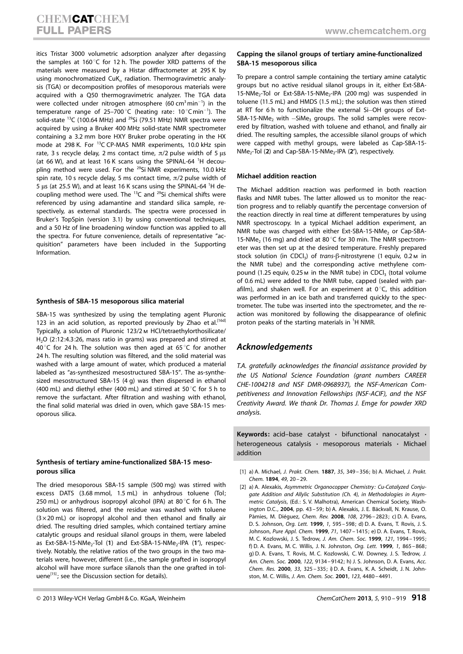itics Tristar 3000 volumetric adsorption analyzer after degassing the samples at 160 $^{\circ}$ C for 12 h. The powder XRD patterns of the materials were measured by a Histar diffractometer at 295 K by using monochromatized  $CuK_a$  radiation. Thermogravimetric analysis (TGA) or decomposition profiles of mesoporous materials were acquired with a Q50 thermogravimetric analyzer. The TGA data were collected under nitrogen atmosphere (60 cm<sup>3</sup>min<sup>-1</sup>) in the temperature range of 25-700 °C (heating rate:  $10\degree$ Cmin<sup>-1</sup>). The solid-state <sup>13</sup>C (100.64 MHz) and <sup>29</sup>Si (79.51 MHz) NMR spectra were acquired by using a Bruker 400 MHz solid-state NMR spectrometer containing a 3.2 mm bore HXY Bruker probe operating in the HX mode at 298 K. For <sup>13</sup>C CP-MAS NMR experiments, 10.0 kHz spin rate, 3 s recycle delay, 2 ms contact time,  $\pi/2$  pulse width of 5  $\mu$ s (at 66 W), and at least 16 K scans using the SPINAL-64  $^1$ H decoupling method were used. For the <sup>29</sup>Si NMR experiments, 10.0 kHz spin rate, 10 s recycle delay, 5 ms contact time,  $\pi/2$  pulse width of 5 µs (at 25.5 W), and at least 16 K scans using the SPINAL-64 <sup>1</sup>H decoupling method were used. The  $^{13}$ C and  $^{29}$ Si chemical shifts were referenced by using adamantine and standard silica sample, respectively, as external standards. The spectra were processed in Bruker's TopSpin (version 3.1) by using conventional techniques, and a 50 Hz of line broadening window function was applied to all the spectra. For future convenience, details of representative "acquisition" parameters have been included in the Supporting Information.

#### Synthesis of SBA-15 mesoporous silica material

SBA-15 was synthesized by using the templating agent Pluronic 123 in an acid solution, as reported previously by Zhao et al.<sup>[16d]</sup> Typically, a solution of Pluronic 123/2m HCl/tetraethylorthosilicate/ H<sub>2</sub>O (2:12:4.3:26, mass ratio in grams) was prepared and stirred at 40 $\degree$ C for 24 h. The solution was then aged at 65 $\degree$ C for another 24 h. The resulting solution was filtered, and the solid material was washed with a large amount of water, which produced a material labeled as "as-synthesized mesostructured SBA-15". The as-synthesized mesostructured SBA-15 (4 g) was then dispersed in ethanol (400 mL) and diethyl ether (400 mL) and stirred at 50 $^{\circ}$ C for 5 h to remove the surfactant. After filtration and washing with ethanol, the final solid material was dried in oven, which gave SBA-15 mesoporous silica.

#### Synthesis of tertiary amine-functionalized SBA-15 mesoporous silica

The dried mesoporous SBA-15 sample (500 mg) was stirred with excess DATS (3.68 mmol, 1.5 mL) in anhydrous toluene (Tol; 250 mL) or anhydrous isopropyl alcohol (IPA) at 80 $\degree$ C for 6 h. The solution was filtered, and the residue was washed with toluene  $(3 \times 20 \text{ mL})$  or isopropyl alcohol and then ethanol and finally air dried. The resulting dried samples, which contained tertiary amine catalytic groups and residual silanol groups in them, were labeled as Ext-SBA-15-NMe<sub>2</sub>-Tol (1) and Ext-SBA-15-NMe<sub>2</sub>-IPA (1'), respectively. Notably, the relative ratios of the two groups in the two materials were, however, different (i.e., the sample grafted in isopropyl alcohol will have more surface silanols than the one grafted in toluene $^{[15]}$ ; see the Discussion section for details).

#### Capping the silanol groups of tertiary amine-functionalized SBA-15 mesoporous silica

To prepare a control sample containing the tertiary amine catalytic groups but no active residual silanol groups in it, either Ext-SBA-15-NMe<sub>2</sub>-Tol or Ext-SBA-15-NMe<sub>2</sub>-IPA (200 mg) was suspended in toluene (11.5 mL) and HMDS (1.5 mL); the solution was then stirred at RT for 6 h to functionalize the external Si-OH groups of Ext-SBA-15-NMe<sub>2</sub> with  $-SiMe<sub>3</sub>$  groups. The solid samples were recovered by filtration, washed with toluene and ethanol, and finally air dried. The resulting samples, the accessible silanol groups of which were capped with methyl groups, were labeled as Cap-SBA-15-  $NMe<sub>2</sub>-Tol$  (2) and Cap-SBA-15-NMe<sub>2</sub>-IPA (2'), respectively.

#### Michael addition reaction

The Michael addition reaction was performed in both reaction flasks and NMR tubes. The latter allowed us to monitor the reaction progress and to reliably quantify the percentage conversion of the reaction directly in real time at different temperatures by using NMR spectroscopy. In a typical Michael addition experiment, an NMR tube was charged with either Ext-SBA-15-NMe<sub>2</sub> or Cap-SBA-15-NMe<sub>2</sub> (16 mg) and dried at 80 $^{\circ}$ C for 30 min. The NMR spectrometer was then set up at the desired temperature. Freshly prepared stock solution (in CDCl<sub>3</sub>) of trans- $\beta$ -nitrostyrene (1 equiv, 0.2 m in the NMR tube) and the corresponding active methylene compound (1.25 equiv, 0.25  $M$  in the NMR tube) in CDCl<sub>3</sub> (total volume of 0.6 mL) were added to the NMR tube, capped (sealed with parafilm), and shaken well. For an experiment at  $0^{\circ}$ C, this addition was performed in an ice bath and transferred quickly to the spectrometer. The tube was inserted into the spectrometer, and the reaction was monitored by following the disappearance of olefinic proton peaks of the starting materials in <sup>1</sup>H NMR.

## Acknowledgements

T.A. gratefully acknowledges the financial assistance provided by the US National Science Foundation (grant numbers CAREER CHE-1004218 and NSF DMR-0968937), the NSF-American Competitiveness and Innovation Fellowships (NSF-ACIF), and the NSF Creativity Award. We thank Dr. Thomas J. Emge for powder XRD analysis.

Keywords: acid-base catalyst  $\cdot$  bifunctional nanocatalyst  $\cdot$ heterogeneous catalysis · mesoporous materials · Michael addition

- [1] a) A. Michael, [J. Prakt.](http://dx.doi.org/10.1002/prac.18940490103) Chem. 1887, 35, 349-356; b) A. Michael, J. Prakt. [Chem.](http://dx.doi.org/10.1002/prac.18940490103) 1894, 49, 20-29.
- [2] a) A. Alexakis, Asymmetric Organocopper Chemistry: Cu-Catalyzed Conjugate Addition and Allylic Substitution (Ch. 4), in Methodologies in Asymmetric Catalysis, (Ed.: S. V. Malhotra), American Chemical Society, Washington D.C., 2004, pp. 43-59; b) A. Alexakis, J. E. Bäckvall, N. Krause, O. Pàmies, M. Diéquez, [Chem. Rev.](http://dx.doi.org/10.1021/cr0683515) 2008, 108, 2796-2823; c) D. A. Evans, D. S. Johnson, [Org. Lett.](http://dx.doi.org/10.1021/ol990113r) 1999, 1[, 595 – 598](http://dx.doi.org/10.1021/ol990113r); d) D. A. Evans, T. Rovis, J. S. Johnson, [Pure Appl. Chem.](http://dx.doi.org/10.1351/pac199971081407) 1999, 71, 1407-1415; e) D. A. Evans, T. Rovis, M. C. Kozlowski, J. S. Tedrow, [J. Am. Chem. Soc.](http://dx.doi.org/10.1021/ja983864h) 1999, 121, 1994 – 1995; f) D. A. Evans, M. C. Willis, J. N. Johnston, [Org. Lett.](http://dx.doi.org/10.1021/ol9901570) 1999, 1[, 865 – 868](http://dx.doi.org/10.1021/ol9901570); g) D. A. Evans, T. Rovis, M. C. Kozlowski, C. W. Downey, J. S. Tedrow, [J.](http://dx.doi.org/10.1021/ja002246+) [Am. Chem. Soc.](http://dx.doi.org/10.1021/ja002246+) 2000, 122, 9134 – 9142; h) J. S. Johnson, D. A. Evans, [Acc.](http://dx.doi.org/10.1021/ar960062n) [Chem. Res.](http://dx.doi.org/10.1021/ar960062n) 2000, 33, 325 – 335; i) D. A. Evans, K. A. Scheidt, J. N. Johnston, M. C. Willis, [J. Am. Chem. Soc.](http://dx.doi.org/10.1021/ja010302g) 2001, 123, 4480 – 4491.

<sup>© 2013</sup> Wiley-VCH Verlag GmbH & Co. KGaA, Weinheim  $\overline{C}$  ChemCatChem 2013, 5, 910 – 919  $\overline{918}$